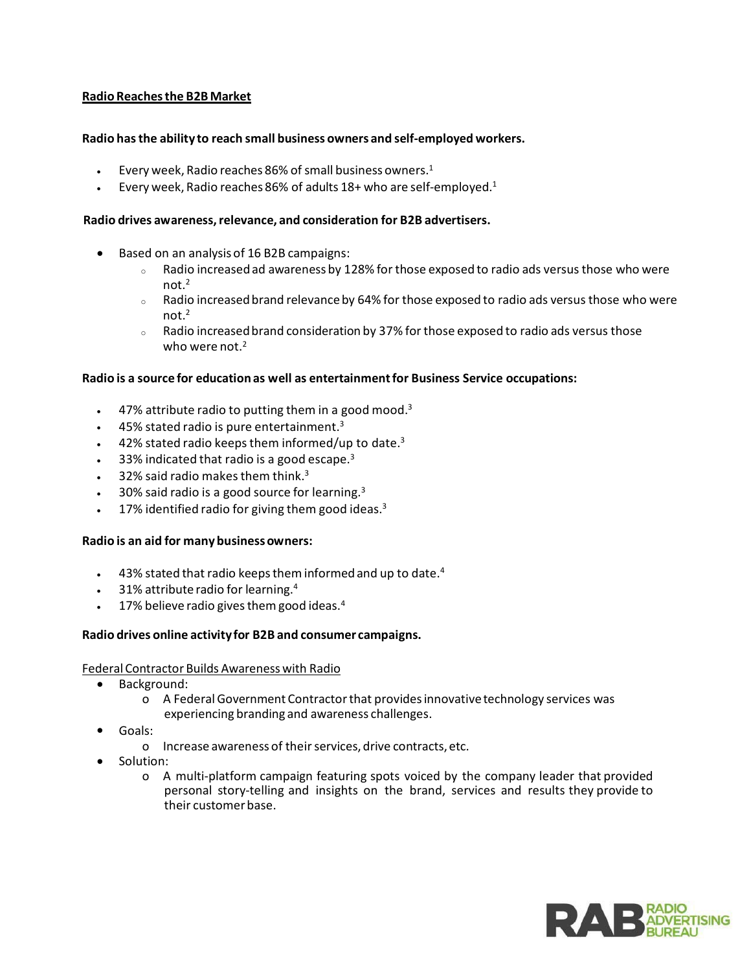# **Radio Reachesthe B2BMarket**

# **Radio hasthe ability to reach small business owners and self-employed workers.**

- Every week, Radio reaches 86% of small business owners. 1
- Every week, Radio reaches 86% of adults  $18+$  who are self-employed.<sup>1</sup>

#### **Radio drives awareness,relevance, and consideration for B2B advertisers.**

- Based on an analysis of 16 B2B campaigns:
	- $\circ$  Radio increased ad awareness by 128% for those exposed to radio ads versus those who were not.2
	- $\circ$  Radio increased brand relevance by 64% for those exposed to radio ads versus those who were not $<sup>2</sup>$ </sup>
	- $\circ$  Radio increased brand consideration by 37% for those exposed to radio ads versus those who were not.<sup>2</sup>

### **Radio is a source for education as well as entertainmentfor Business Service occupations:**

- $\bullet$  47% attribute radio to putting them in a good mood.<sup>3</sup>
- 45% stated radio is pure entertainment. 3
- $\bullet$  42% stated radio keeps them informed/up to date.<sup>3</sup>
- $\bullet$  33% indicated that radio is a good escape.<sup>3</sup>
- $\bullet$  32% said radio makes them think.<sup>3</sup>
- $\bullet$  30% said radio is a good source for learning.<sup>3</sup>
- $\bullet$  17% identified radio for giving them good ideas.<sup>3</sup>

### **Radio is an aid for manybusinessowners:**

- $\bullet$  43% stated that radio keeps them informed and up to date.<sup>4</sup>
- 31% attribute radio for learning. 4
- $\bullet$  17% believe radio gives them good ideas.<sup>4</sup>

### **Radio drives online activityfor B2B and consumer campaigns.**

### Federal Contractor Builds Awareness with Radio

- Background:
	- o A Federal Government Contractorthat providesinnovativetechnology services was experiencing branding and awareness challenges.
- Goals:
	- o Increase awareness of their services, drive contracts, etc.
- Solution:
	- o A multi-platform campaign featuring spots voiced by the company leader that provided personal story-telling and insights on the brand, services and results they provide to their customerbase.